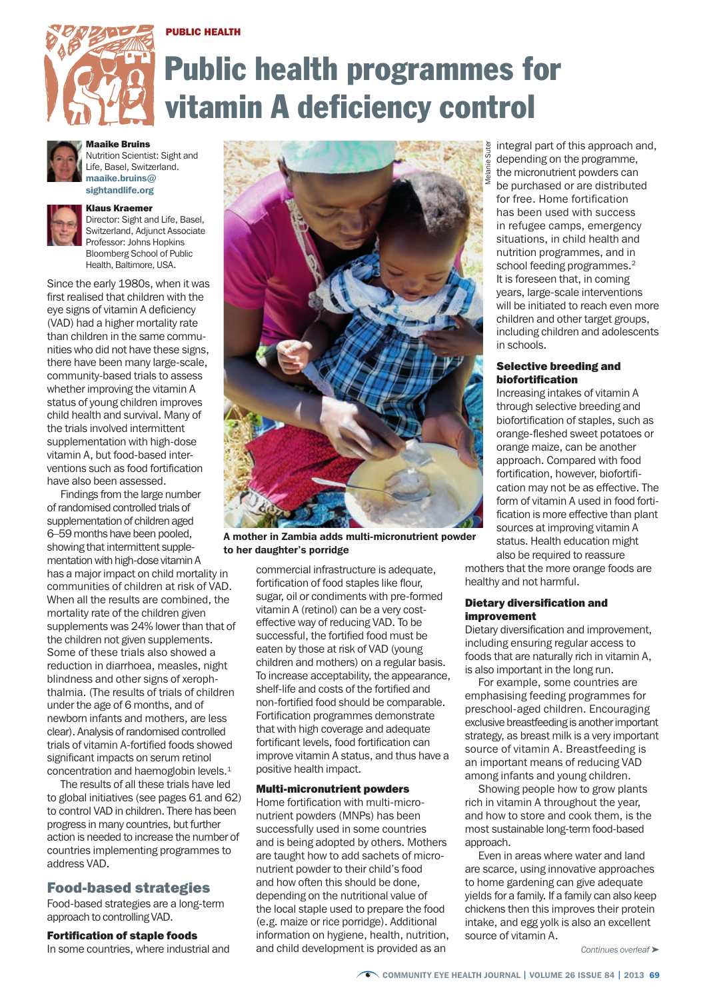## PUBLIC HEALTH



# Public health programmes for vitamin A deficiency control



Maaike Bruins Nutrition Scientist: Sight and

Life, Basel, Switzerland. maaike.bruins $@$ sightandlife.org



Klaus Kraemer Director: Sight and Life, Basel, Switzerland, Adjunct Associate Professor: Johns Hopkins Bloomberg School of Public

Health, Baltimore, USA.

Since the early 1980s, when it was first realised that children with the eye signs of vitamin A deficiency (VAD) had a higher mortality rate than children in the same communities who did not have these signs, there have been many large-scale, community-based trials to assess whether improving the vitamin A status of young children improves child health and survival. Many of the trials involved intermittent supplementation with high-dose vitamin A, but food-based interventions such as food fortification have also been assessed.

Findings from the large number of randomised controlled trials of supplementation of children aged 6–59 months have been pooled, showing that intermittent supplementation with high-dose vitamin A has a major impact on child mortality in communities of children at risk of VAD. When all the results are combined, the mortality rate of the children given supplements was 24% lower than that of the children not given supplements. Some of these trials also showed a reduction in diarrhoea, measles, night blindness and other signs of xerophthalmia. (The results of trials of children under the age of 6 months, and of newborn infants and mothers, are less clear). Analysis of randomised controlled trials of vitamin A-fortified foods showed significant impacts on serum retinol concentration and haemoglobin levels.1

The results of all these trials have led to global initiatives (see pages 61 and 62) to control VAD in children. There has been progress in many countries, but further action is needed to increase the number of countries implementing programmes to address VAD.

# Food-based strategies

Food-based strategies are a long-term approach to controlling VAD.

Fortification of staple foods

In some countries, where industrial and



A mother in Zambia adds multi-micronutrient powder to her daughter's porridge

commercial infrastructure is adequate, fortification of food staples like flour, sugar, oil or condiments with pre-formed vitamin A (retinol) can be a very costeffective way of reducing VAD. To be successful, the fortified food must be eaten by those at risk of VAD (young children and mothers) on a regular basis. To increase acceptability, the appearance, shelf-life and costs of the fortified and non-fortified food should be comparable. Fortification programmes demonstrate that with high coverage and adequate fortificant levels, food fortification can improve vitamin A status, and thus have a positive health impact.

#### Multi-micronutrient powders

Home fortification with multi-micronutrient powders (MNPs) has been successfully used in some countries and is being adopted by others. Mothers are taught how to add sachets of micronutrient powder to their child's food and how often this should be done, depending on the nutritional value of the local staple used to prepare the food (e.g. maize or rice porridge). Additional information on hygiene, health, nutrition, and child development is provided as an

integral part of this approach and, depending on the programme, the micronutrient powders can be purchased or are distributed for free. Home fortification has been used with success in refugee camps, emergency situations, in child health and nutrition programmes, and in school feeding programmes.<sup>2</sup> It is foreseen that, in coming years, large-scale interventions will be initiated to reach even more children and other target groups, including children and adolescents in schools.

#### Selective breeding and biofortification

Increasing intakes of vitamin A through selective breeding and biofortification of staples, such as orange-fleshed sweet potatoes or orange maize, can be another approach. Compared with food fortification, however, biofortification may not be as effective. The form of vitamin A used in food fortification is more effective than plant sources at improving vitamin A status. Health education might also be required to reassure

mothers that the more orange foods are healthy and not harmful.

#### Dietary diversification and improvement

Dietary diversification and improvement, including ensuring regular access to foods that are naturally rich in vitamin A, is also important in the long run.

For example, some countries are emphasising feeding programmes for preschool-aged children. Encouraging exclusive breastfeeding is another important strategy, as breast milk is a very important source of vitamin A. Breastfeeding is an important means of reducing VAD among infants and young children.

Showing people how to grow plants rich in vitamin A throughout the year, and how to store and cook them, is the most sustainable long-term food-based annmach

Even in areas where water and land are scarce, using innovative approaches to home gardening can give adequate yields for a family. If a family can also keep chickens then this improves their protein intake, and egg yolk is also an excellent source of vitamin A.

*Continues overleaf* ➤